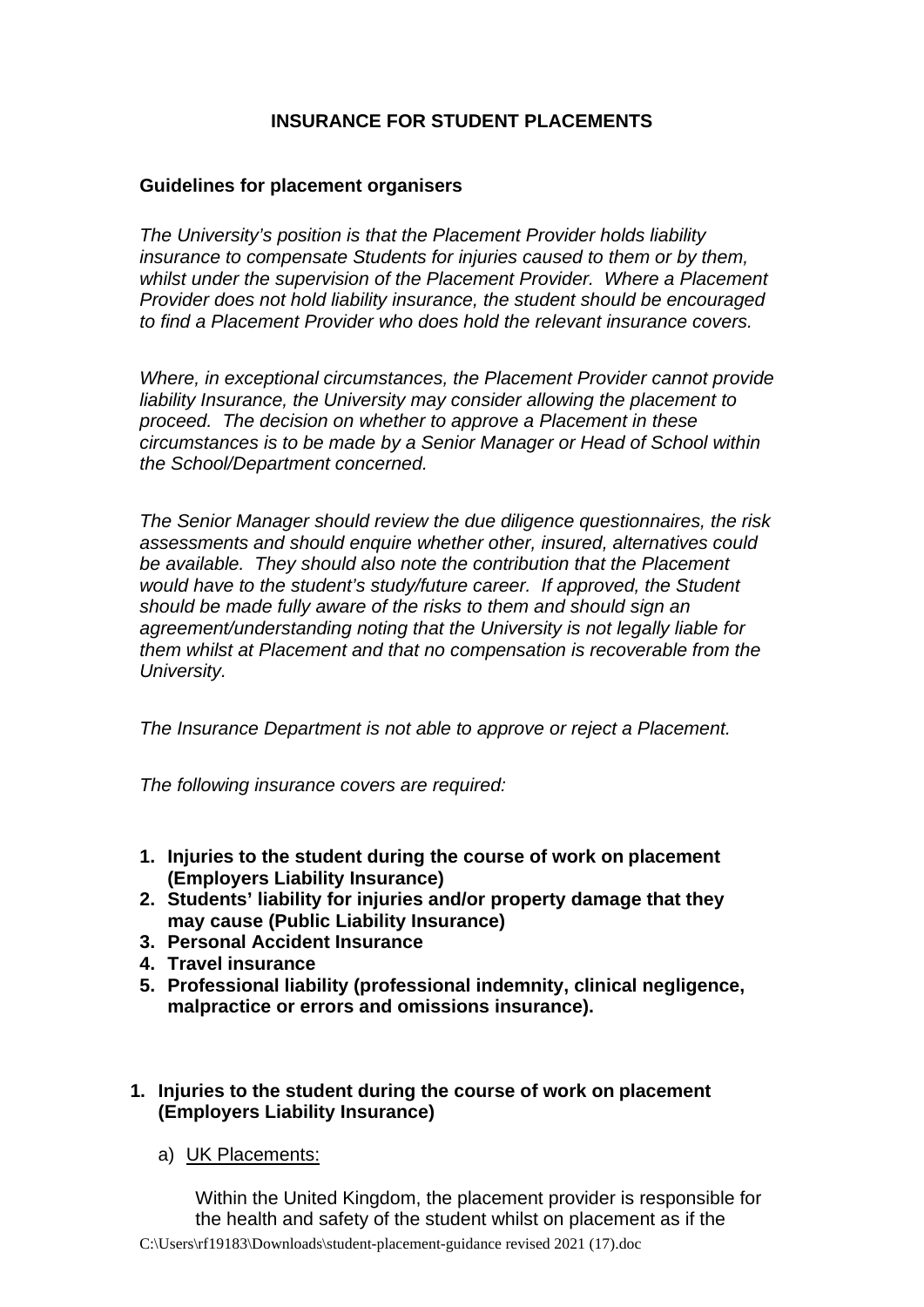# **INSURANCE FOR STUDENT PLACEMENTS**

## **Guidelines for placement organisers**

*The University's position is that the Placement Provider holds liability insurance to compensate Students for injuries caused to them or by them, whilst under the supervision of the Placement Provider. Where a Placement Provider does not hold liability insurance, the student should be encouraged to find a Placement Provider who does hold the relevant insurance covers.*

*Where, in exceptional circumstances, the Placement Provider cannot provide liability Insurance, the University may consider allowing the placement to proceed. The decision on whether to approve a Placement in these circumstances is to be made by a Senior Manager or Head of School within the School/Department concerned.* 

*The Senior Manager should review the due diligence questionnaires, the risk assessments and should enquire whether other, insured, alternatives could be available. They should also note the contribution that the Placement would have to the student's study/future career. If approved, the Student should be made fully aware of the risks to them and should sign an agreement/understanding noting that the University is not legally liable for them whilst at Placement and that no compensation is recoverable from the University.* 

*The Insurance Department is not able to approve or reject a Placement.*

*The following insurance covers are required:*

- **1. Injuries to the student during the course of work on placement (Employers Liability Insurance)**
- **2. Students' liability for injuries and/or property damage that they may cause (Public Liability Insurance)**
- **3. Personal Accident Insurance**
- **4. Travel insurance**
- **5. Professional liability (professional indemnity, clinical negligence, malpractice or errors and omissions insurance).**

### **1. Injuries to the student during the course of work on placement (Employers Liability Insurance)**

a) UK Placements:

Within the United Kingdom, the placement provider is responsible for the health and safety of the student whilst on placement as if the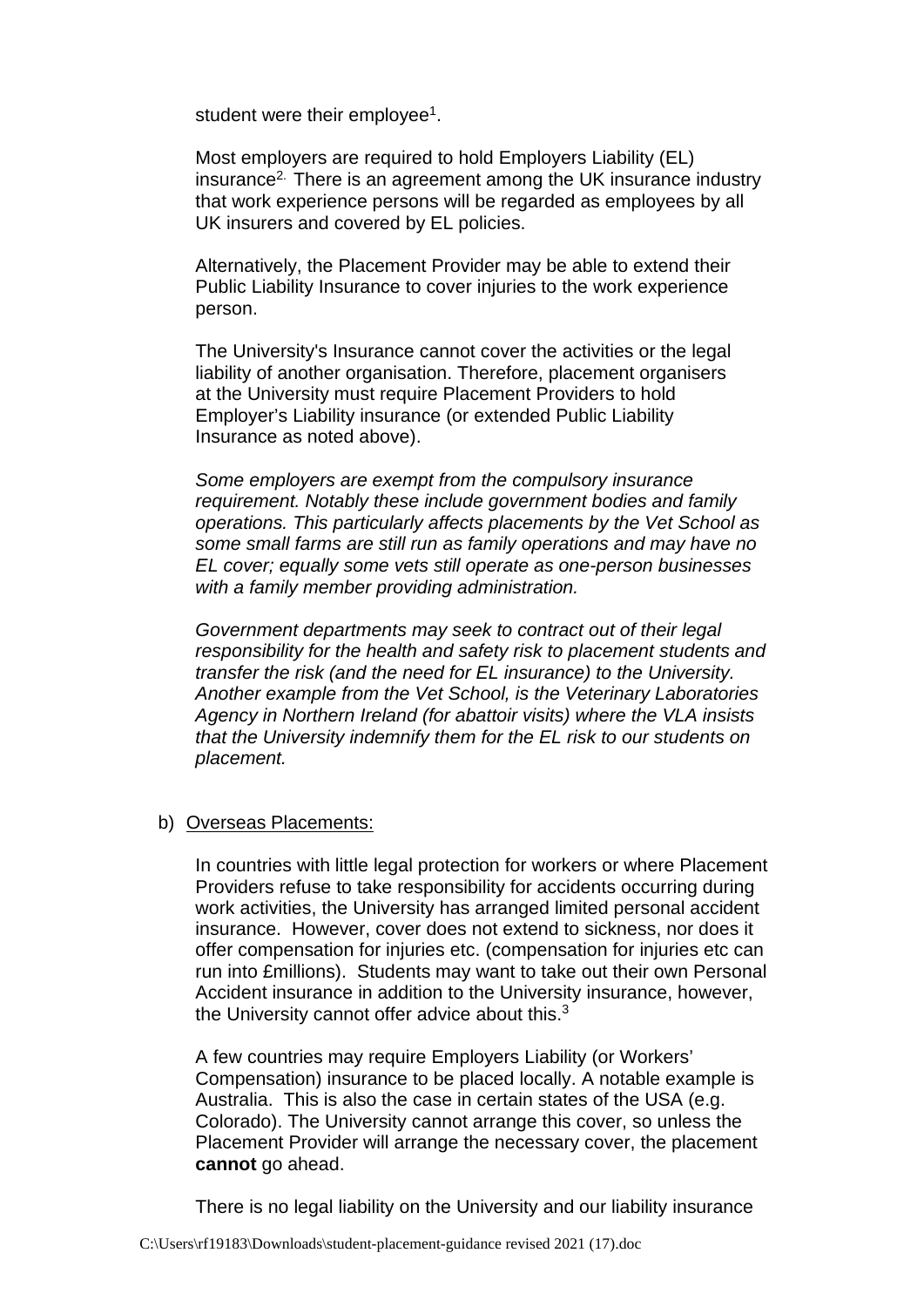student were their employee<sup>1</sup>.

Most employers are required to hold Employers Liability (EL) insurance2. There is an agreement among the UK insurance industry that work experience persons will be regarded as employees by all UK insurers and covered by EL policies.

Alternatively, the Placement Provider may be able to extend their Public Liability Insurance to cover injuries to the work experience person.

The University's Insurance cannot cover the activities or the legal liability of another organisation. Therefore, placement organisers at the University must require Placement Providers to hold Employer's Liability insurance (or extended Public Liability Insurance as noted above).

*Some employers are exempt from the compulsory insurance requirement. Notably these include government bodies and family operations. This particularly affects placements by the Vet School as some small farms are still run as family operations and may have no EL cover; equally some vets still operate as one-person businesses with a family member providing administration.* 

*Government departments may seek to contract out of their legal responsibility for the health and safety risk to placement students and transfer the risk (and the need for EL insurance) to the University. Another example from the Vet School, is the Veterinary Laboratories Agency in Northern Ireland (for abattoir visits) where the VLA insists that the University indemnify them for the EL risk to our students on placement.* 

# b) Overseas Placements:

In countries with little legal protection for workers or where Placement Providers refuse to take responsibility for accidents occurring during work activities, the University has arranged limited personal accident insurance. However, cover does not extend to sickness, nor does it offer compensation for injuries etc. (compensation for injuries etc can run into £millions). Students may want to take out their own Personal Accident insurance in addition to the University insurance, however, the University cannot offer advice about this.<sup>3</sup>

A few countries may require Employers Liability (or Workers' Compensation) insurance to be placed locally. A notable example is Australia. This is also the case in certain states of the USA (e.g. Colorado). The University cannot arrange this cover, so unless the Placement Provider will arrange the necessary cover, the placement **cannot** go ahead.

There is no legal liability on the University and our liability insurance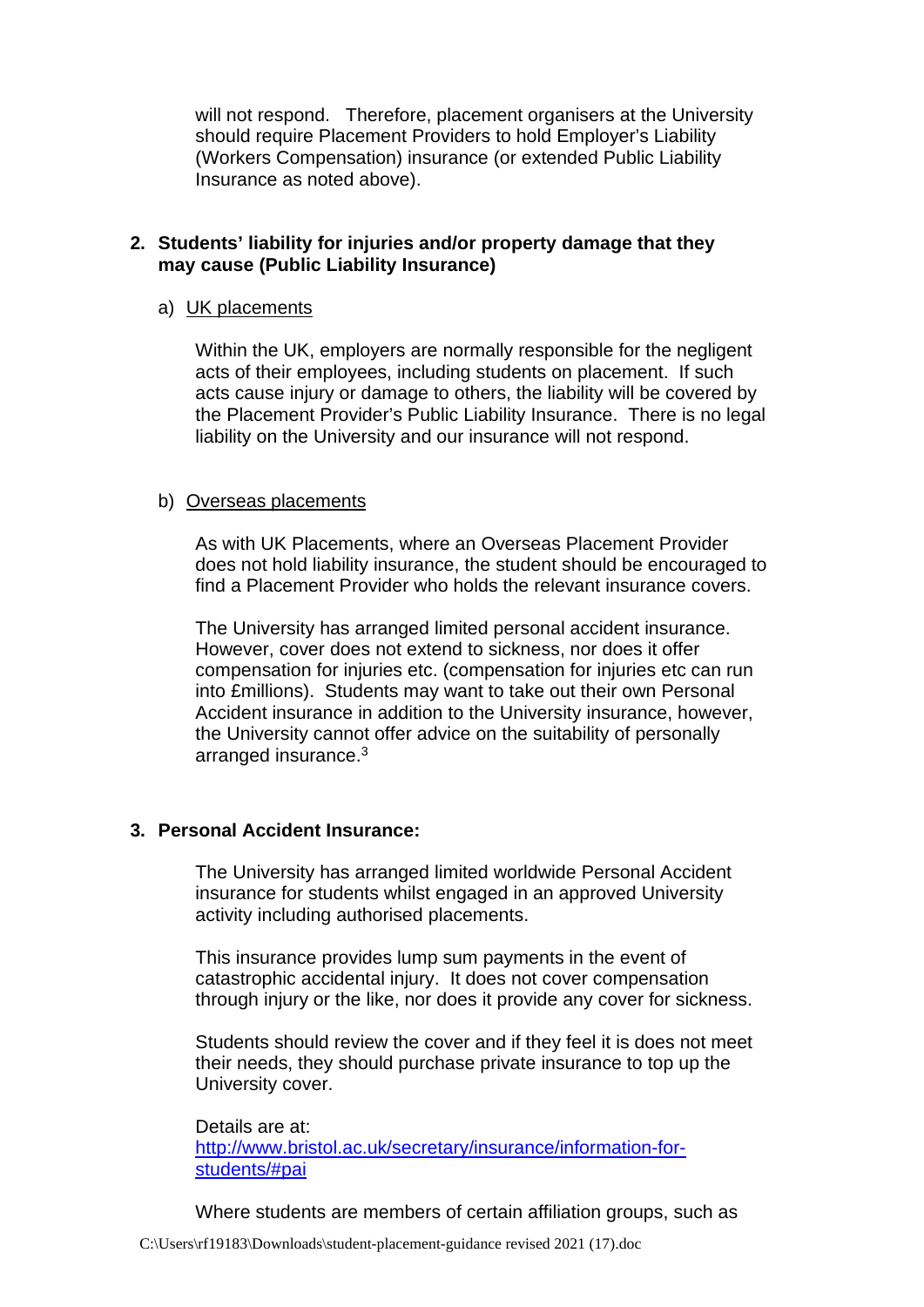will not respond. Therefore, placement organisers at the University should require Placement Providers to hold Employer's Liability (Workers Compensation) insurance (or extended Public Liability Insurance as noted above).

# **2. Students' liability for injuries and/or property damage that they may cause (Public Liability Insurance)**

## a) UK placements

Within the UK, employers are normally responsible for the negligent acts of their employees, including students on placement. If such acts cause injury or damage to others, the liability will be covered by the Placement Provider's Public Liability Insurance. There is no legal liability on the University and our insurance will not respond.

#### b) Overseas placements

As with UK Placements, where an Overseas Placement Provider does not hold liability insurance, the student should be encouraged to find a Placement Provider who holds the relevant insurance covers.

The University has arranged limited personal accident insurance. However, cover does not extend to sickness, nor does it offer compensation for injuries etc. (compensation for injuries etc can run into £millions). Students may want to take out their own Personal Accident insurance in addition to the University insurance, however, the University cannot offer advice on the suitability of personally arranged insurance. 3

# **3. Personal Accident Insurance:**

The University has arranged limited worldwide Personal Accident insurance for students whilst engaged in an approved University activity including authorised placements.

This insurance provides lump sum payments in the event of catastrophic accidental injury. It does not cover compensation through injury or the like, nor does it provide any cover for sickness.

Students should review the cover and if they feel it is does not meet their needs, they should purchase private insurance to top up the University cover.

Details are at: [http://www.bristol.ac.uk/secretary/insurance/information-for](http://www.bristol.ac.uk/secretary/insurance/information-for-students/#pai)[students/#pai](http://www.bristol.ac.uk/secretary/insurance/information-for-students/#pai)

Where students are members of certain affiliation groups, such as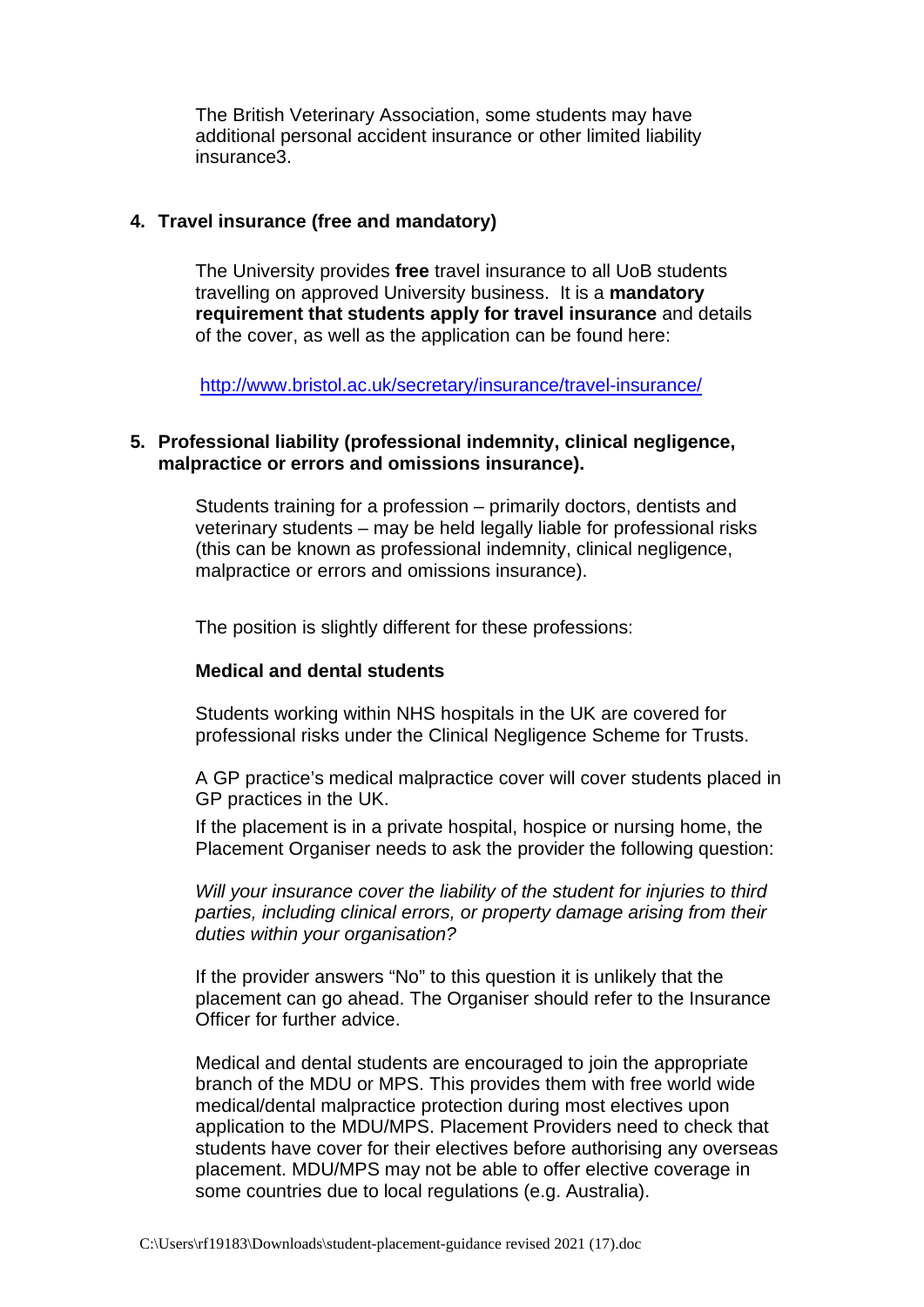The British Veterinary Association, some students may have additional personal accident insurance or other limited liability insurance3.

### **4. Travel insurance (free and mandatory)**

The University provides **free** travel insurance to all UoB students travelling on approved University business. It is a **mandatory requirement that students apply for travel insurance** and details of the cover, as well as the application can be found here:

<http://www.bristol.ac.uk/secretary/insurance/travel-insurance/>

### **5. Professional liability (professional indemnity, clinical negligence, malpractice or errors and omissions insurance).**

Students training for a profession – primarily doctors, dentists and veterinary students – may be held legally liable for professional risks (this can be known as professional indemnity, clinical negligence, malpractice or errors and omissions insurance).

The position is slightly different for these professions:

#### **Medical and dental students**

Students working within NHS hospitals in the UK are covered for professional risks under the Clinical Negligence Scheme for Trusts.

A GP practice's medical malpractice cover will cover students placed in GP practices in the UK.

If the placement is in a private hospital, hospice or nursing home, the Placement Organiser needs to ask the provider the following question:

*Will your insurance cover the liability of the student for injuries to third parties, including clinical errors, or property damage arising from their duties within your organisation?*

If the provider answers "No" to this question it is unlikely that the placement can go ahead. The Organiser should refer to the Insurance Officer for further advice.

Medical and dental students are encouraged to join the appropriate branch of the MDU or MPS. This provides them with free world wide medical/dental malpractice protection during most electives upon application to the MDU/MPS. Placement Providers need to check that students have cover for their electives before authorising any overseas placement. MDU/MPS may not be able to offer elective coverage in some countries due to local regulations (e.g. Australia).